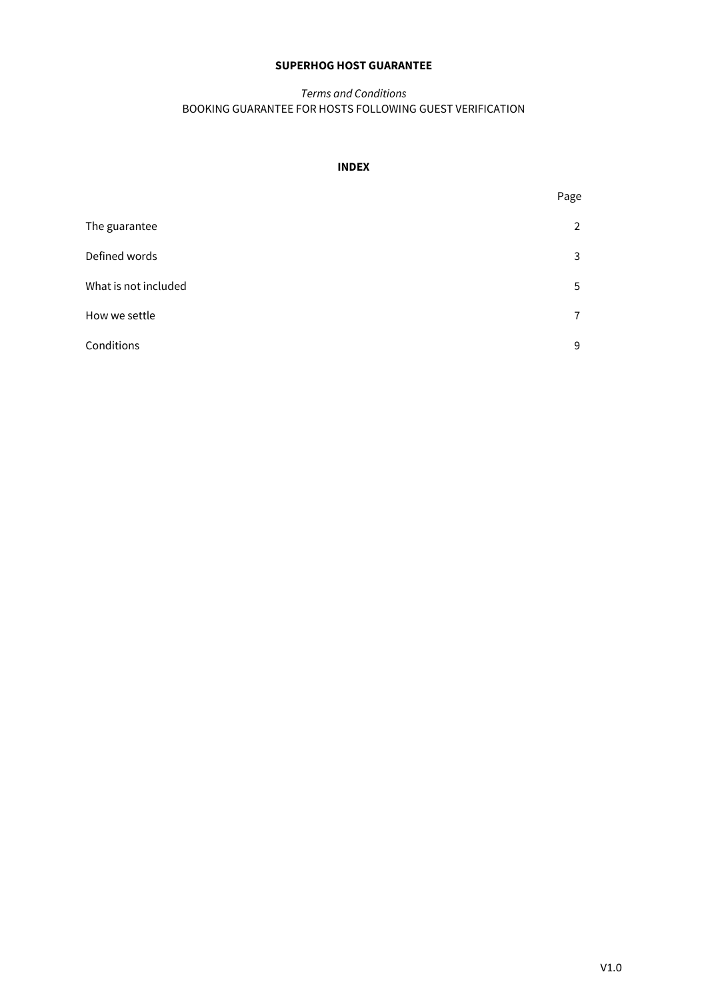# **SUPERHOG HOST GUARANTEE**

# *Terms and Conditions* BOOKING GUARANTEE FOR HOSTS FOLLOWING GUEST VERIFICATION

# **INDEX**

|                      | Page           |
|----------------------|----------------|
| The guarantee        | 2              |
| Defined words        | 3              |
| What is not included | 5              |
| How we settle        | $\overline{7}$ |
| Conditions           | 9              |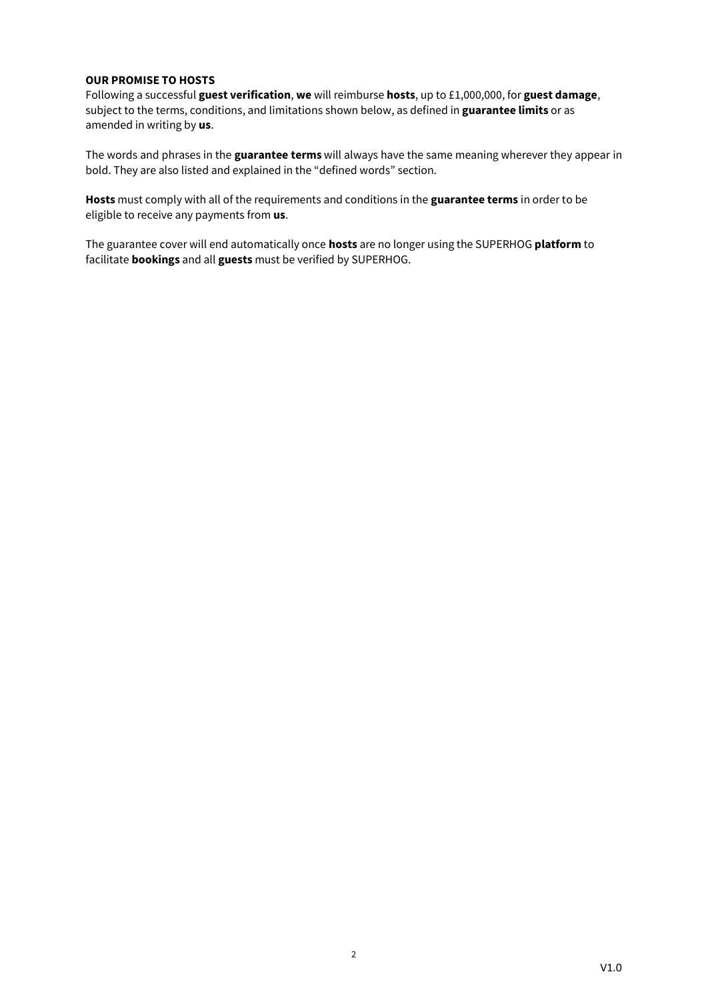## **OUR PROMISE TO HOSTS**

Following a successful **guest verification**, **we** will reimburse **hosts**, up to £1,000,000, for **guest damage**, subject to the terms, conditions, and limitations shown below, as defined in **guarantee limits** or as amended in writing by **us**.

The words and phrases in the **guarantee terms** will always have the same meaning wherever they appear in bold. They are also listed and explained in the "defined words" section.

**Hosts** must comply with all of the requirements and conditions in the **guarantee terms** in order to be eligible to receive any payments from **us**.

The guarantee cover will end automatically once **hosts** are no longer using the SUPERHOG **platform** to facilitate **bookings** and all **guests** must be verified by SUPERHOG.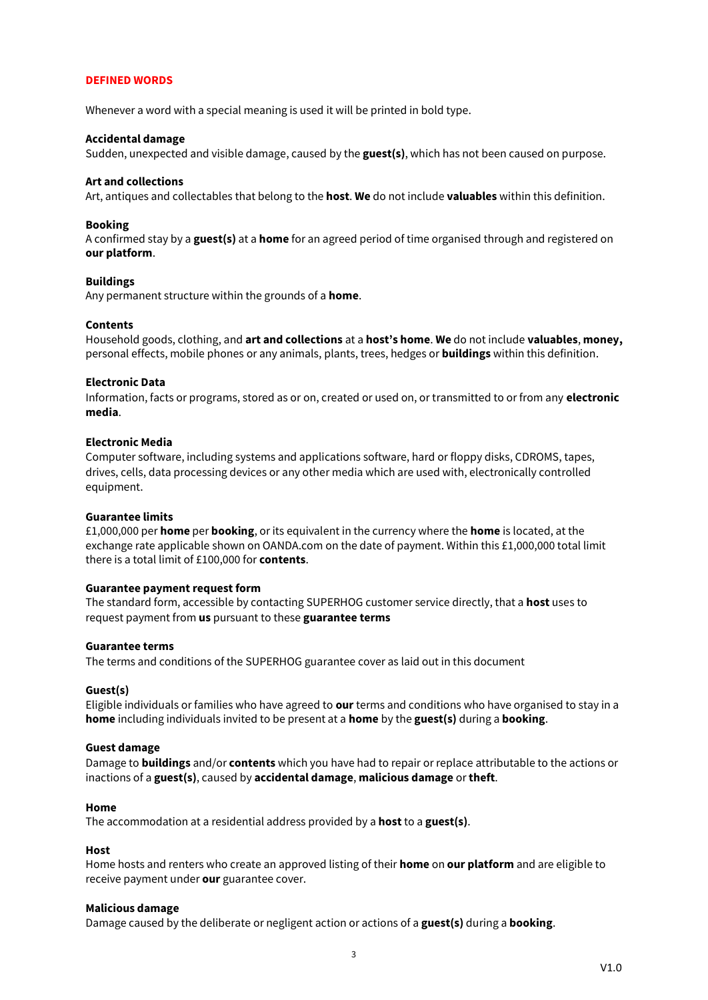#### **DEFINED WORDS**

Whenever a word with a special meaning is used it will be printed in bold type.

#### **Accidental damage**

Sudden, unexpected and visible damage, caused by the **guest(s)**, which has not been caused on purpose.

#### **Art and collections**

Art, antiques and collectables that belong to the **host**. **We** do not include **valuables** within this definition.

#### **Booking**

A confirmed stay by a **guest(s)** at a **home** for an agreed period of time organised through and registered on **our platform**.

#### **Buildings**

Any permanent structure within the grounds of a **home**.

#### **Contents**

Household goods, clothing, and **art and collections** at a **host's home**. **We** do not include **valuables**, **money,**  personal effects, mobile phones or any animals, plants, trees, hedges or **buildings** within this definition.

### **Electronic Data**

Information, facts or programs, stored as or on, created or used on, or transmitted to or from any **electronic media**.

## **Electronic Media**

Computer software, including systems and applications software, hard or floppy disks, CDROMS, tapes, drives, cells, data processing devices or any other media which are used with, electronically controlled equipment.

#### **Guarantee limits**

£1,000,000 per **home** per **booking**, or its equivalent in the currency where the **home** is located, at the exchange rate applicable shown on OANDA.com on the date of payment. Within this £1,000,000 total limit there is a total limit of £100,000 for **contents**.

#### **Guarantee payment request form**

The standard form, accessible by contacting SUPERHOG customer service directly, that a **host** uses to request payment from **us** pursuant to these **guarantee terms**

#### **Guarantee terms**

The terms and conditions of the SUPERHOG guarantee cover as laid out in this document

#### **Guest(s)**

Eligible individuals or families who have agreed to **our** terms and conditions who have organised to stay in a **home** including individuals invited to be present at a **home** by the **guest(s)** during a **booking**.

#### **Guest damage**

Damage to **buildings** and/or **contents** which you have had to repair or replace attributable to the actions or inactions of a **guest(s)**, caused by **accidental damage**, **malicious damage** or **theft**.

#### **Home**

The accommodation at a residential address provided by a **host** to a **guest(s)**.

#### **Host**

Home hosts and renters who create an approved listing of their **home** on **our platform** and are eligible to receive payment under **our** guarantee cover.

#### **Malicious damage**

Damage caused by the deliberate or negligent action or actions of a **guest(s)** during a **booking**.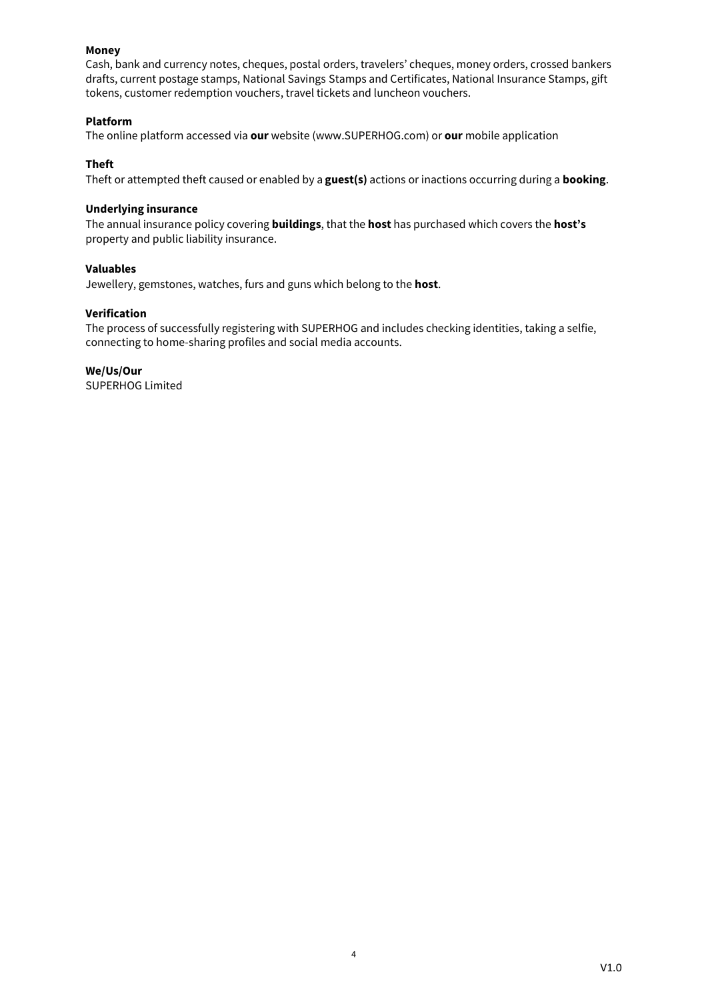# **Money**

Cash, bank and currency notes, cheques, postal orders, travelers' cheques, money orders, crossed bankers drafts, current postage stamps, National Savings Stamps and Certificates, National Insurance Stamps, gift tokens, customer redemption vouchers, travel tickets and luncheon vouchers.

# **Platform**

The online platform accessed via **our** website (www.SUPERHOG.com) or **our** mobile application

# **Theft**

Theft or attempted theft caused or enabled by a **guest(s)** actions or inactions occurring during a **booking**.

# **Underlying insurance**

The annual insurance policy covering **buildings**, that the **host** has purchased which covers the **host's** property and public liability insurance.

# **Valuables**

Jewellery, gemstones, watches, furs and guns which belong to the **host**.

# **Verification**

The process of successfully registering with SUPERHOG and includes checking identities, taking a selfie, connecting to home-sharing profiles and social media accounts.

**We/Us/Our** SUPERHOG Limited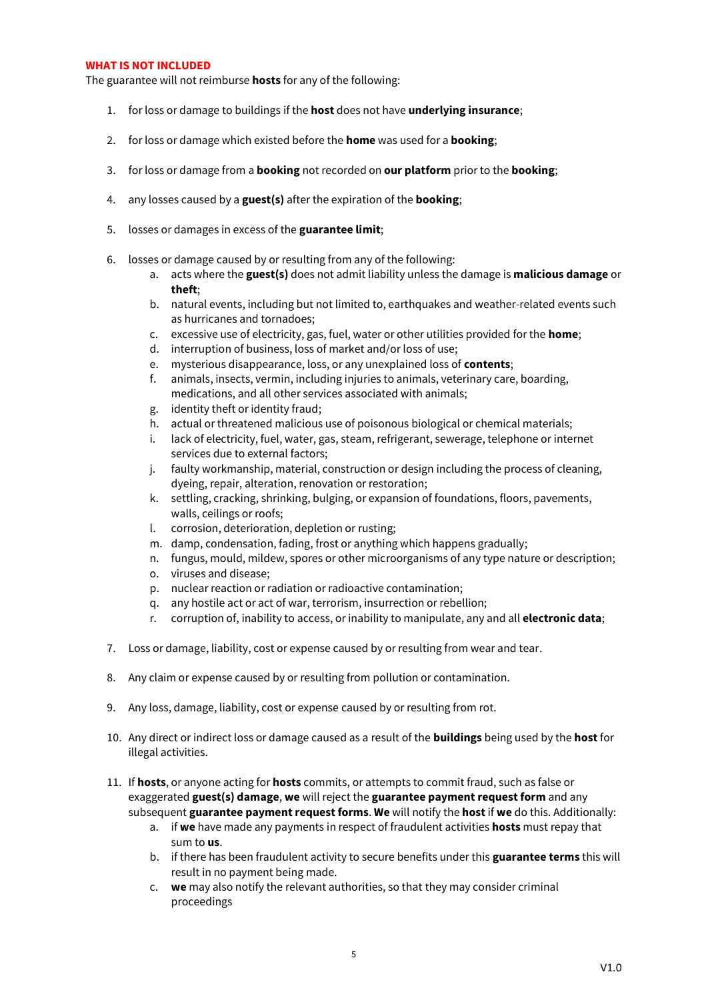### **WHAT IS NOT INCLUDED**

The guarantee will not reimburse **hosts** for any of the following:

- 1. for loss or damage to buildings if the **host** does not have **underlying insurance**;
- 2. for loss or damage which existed before the **home** was used for a **booking**;
- 3. for loss or damage from a **booking** not recorded on **our platform** prior to the **booking**;
- 4. any losses caused by a **guest(s)** after the expiration of the **booking**;
- 5. losses or damages in excess of the **guarantee limit**;
- 6. losses or damage caused by or resulting from any of the following:
	- a. acts where the **guest(s)** does not admit liability unless the damage is **malicious damage** or **theft**;
	- b. natural events, including but not limited to, earthquakes and weather-related events such as hurricanes and tornadoes;
	- c. excessive use of electricity, gas, fuel, water or other utilities provided for the **home**;
	- d. interruption of business, loss of market and/or loss of use;
	- e. mysterious disappearance, loss, or any unexplained loss of **contents**;
	- f. animals, insects, vermin, including injuries to animals, veterinary care, boarding, medications, and all other services associated with animals;
	- g. identity theft or identity fraud;
	- h. actual or threatened malicious use of poisonous biological or chemical materials;
	- i. lack of electricity, fuel, water, gas, steam, refrigerant, sewerage, telephone or internet services due to external factors;
	- j. faulty workmanship, material, construction or design including the process of cleaning, dyeing, repair, alteration, renovation or restoration;
	- k. settling, cracking, shrinking, bulging, or expansion of foundations, floors, pavements, walls, ceilings or roofs;
	- l. corrosion, deterioration, depletion or rusting;
	- m. damp, condensation, fading, frost or anything which happens gradually;
	- n. fungus, mould, mildew, spores or other microorganisms of any type nature or description;
	- o. viruses and disease;
	- p. nuclear reaction or radiation or radioactive contamination;
	- q. any hostile act or act of war, terrorism, insurrection or rebellion;
	- r. corruption of, inability to access, or inability to manipulate, any and all **electronic data**;
- 7. Loss or damage, liability, cost or expense caused by or resulting from wear and tear.
- 8. Any claim or expense caused by or resulting from pollution or contamination.
- 9. Any loss, damage, liability, cost or expense caused by or resulting from rot.
- 10. Any direct or indirect loss or damage caused as a result of the **buildings** being used by the **host** for illegal activities.
- 11. If **hosts**, or anyone acting for **hosts** commits, or attempts to commit fraud, such as false or exaggerated **guest(s) damage**, **we** will reject the **guarantee payment request form** and any subsequent **guarantee payment request forms**. **We** will notify the **host** if **we** do this. Additionally:
	- a. if **we** have made any payments in respect of fraudulent activities **hosts** must repay that sum to **us**.
	- b. if there has been fraudulent activity to secure benefits under this **guarantee terms** this will result in no payment being made.
	- c. **we** may also notify the relevant authorities, so that they may consider criminal proceedings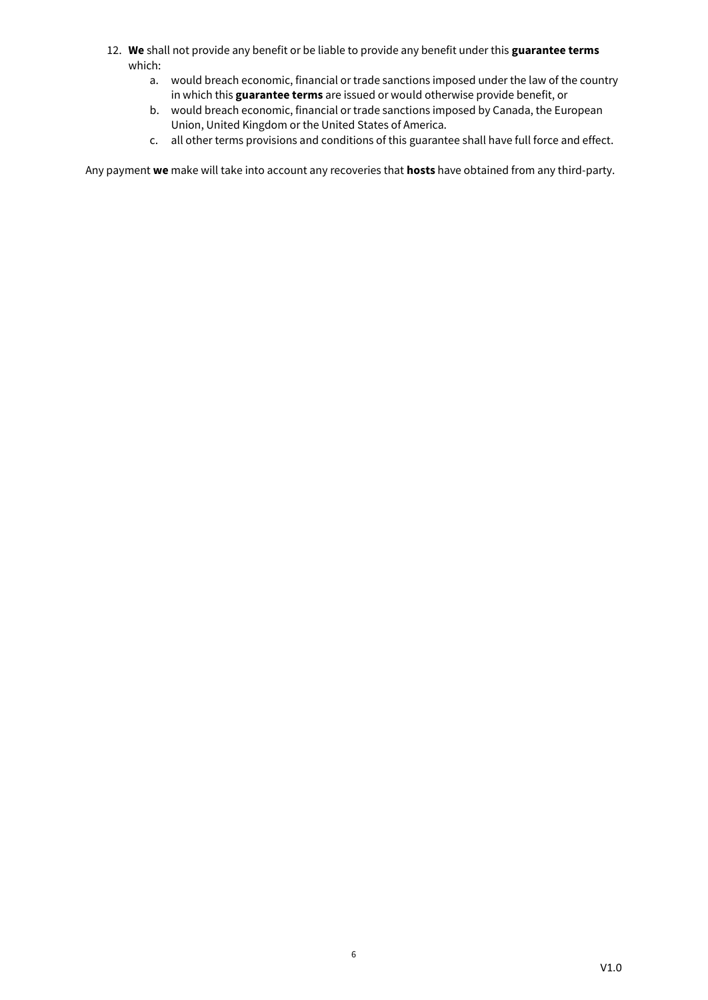- 12. **We** shall not provide any benefit or be liable to provide any benefit under this **guarantee terms** which:
	- a. would breach economic, financial or trade sanctions imposed under the law of the country in which this **guarantee terms** are issued or would otherwise provide benefit, or
	- b. would breach economic, financial or trade sanctions imposed by Canada, the European Union, United Kingdom or the United States of America.
	- c. all other terms provisions and conditions of this guarantee shall have full force and effect.

Any payment **we** make will take into account any recoveries that **hosts** have obtained from any third-party.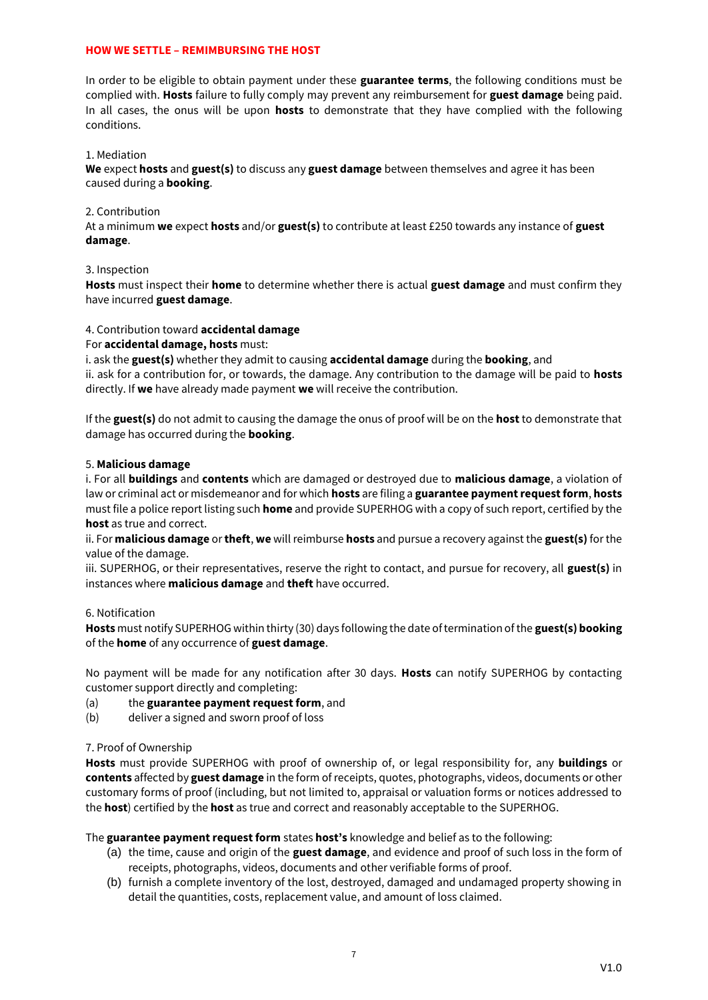## **HOW WE SETTLE – REMIMBURSING THE HOST**

In order to be eligible to obtain payment under these **guarantee terms**, the following conditions must be complied with. **Hosts** failure to fully comply may prevent any reimbursement for **guest damage** being paid. In all cases, the onus will be upon **hosts** to demonstrate that they have complied with the following conditions.

## 1. Mediation

**We** expect **hosts** and **guest(s)** to discuss any **guest damage** between themselves and agree it has been caused during a **booking**.

## 2. Contribution

At a minimum **we** expect **hosts** and/or **guest(s)** to contribute at least £250 towards any instance of **guest damage**.

## 3. Inspection

**Hosts** must inspect their **home** to determine whether there is actual **guest damage** and must confirm they have incurred **guest damage**.

# 4. Contribution toward **accidental damage**

For **accidental damage, hosts** must:

i. ask the **guest(s)** whether they admit to causing **accidental damage** during the **booking**, and ii. ask for a contribution for, or towards, the damage. Any contribution to the damage will be paid to **hosts** directly. If **we** have already made payment **we** will receive the contribution.

If the **guest(s)** do not admit to causing the damage the onus of proof will be on the **host** to demonstrate that damage has occurred during the **booking**.

### 5. **Malicious damage**

i. For all **buildings** and **contents** which are damaged or destroyed due to **malicious damage**, a violation of law or criminal act or misdemeanor and for which **hosts** are filing a **guarantee payment request form**, **hosts** must file a police report listing such **home** and provide SUPERHOG with a copy of such report, certified by the **host** as true and correct.

ii. For **malicious damage** or **theft**, **we** will reimburse **hosts** and pursue a recovery against the **guest(s)** for the value of the damage.

iii. SUPERHOG, or their representatives, reserve the right to contact, and pursue for recovery, all **guest(s)** in instances where **malicious damage** and **theft** have occurred.

### 6. Notification

**Hosts** must notify SUPERHOG within thirty (30) days following the date of termination of the **guest(s) booking** of the **home** of any occurrence of **guest damage**.

No payment will be made for any notification after 30 days. **Hosts** can notify SUPERHOG by contacting customer support directly and completing:

- (a) the **guarantee payment request form**, and
- (b) deliver a signed and sworn proof of loss

### 7. Proof of Ownership

**Hosts** must provide SUPERHOG with proof of ownership of, or legal responsibility for, any **buildings** or **contents** affected by **guest damage** in the form of receipts, quotes, photographs, videos, documents or other customary forms of proof (including, but not limited to, appraisal or valuation forms or notices addressed to the **host**) certified by the **host** as true and correct and reasonably acceptable to the SUPERHOG.

The **guarantee payment request form** states **host's** knowledge and belief as to the following:

- (a) the time, cause and origin of the **guest damage**, and evidence and proof of such loss in the form of receipts, photographs, videos, documents and other verifiable forms of proof.
- (b) furnish a complete inventory of the lost, destroyed, damaged and undamaged property showing in detail the quantities, costs, replacement value, and amount of loss claimed.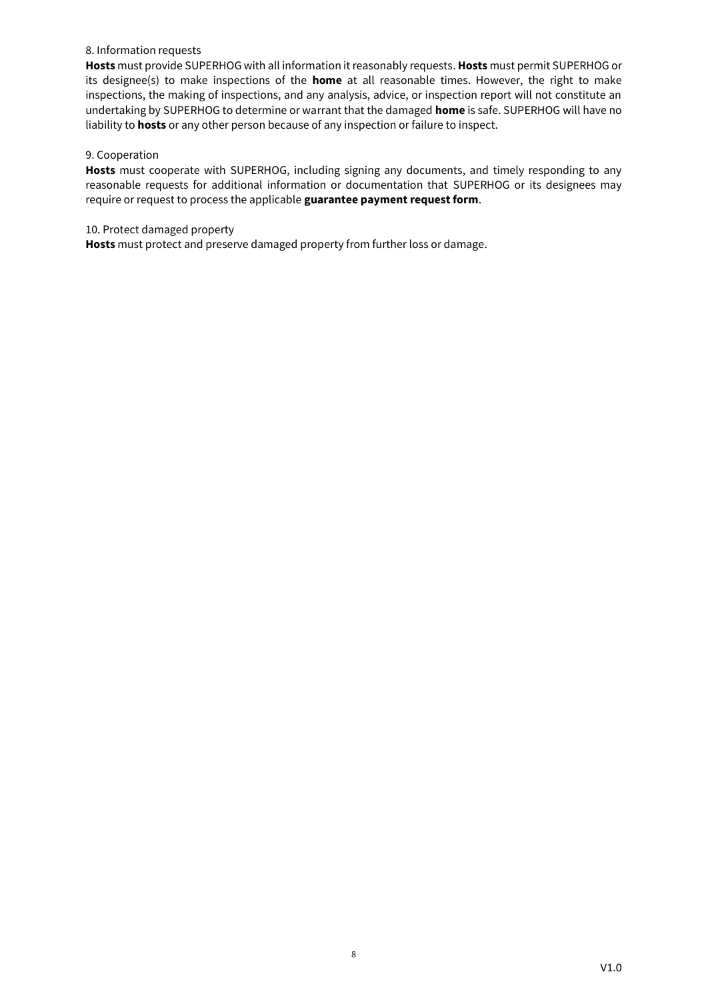## 8. Information requests

**Hosts** must provide SUPERHOG with all information it reasonably requests. **Hosts** must permit SUPERHOG or its designee(s) to make inspections of the **home** at all reasonable times. However, the right to make inspections, the making of inspections, and any analysis, advice, or inspection report will not constitute an undertaking by SUPERHOG to determine or warrant that the damaged **home** is safe. SUPERHOG will have no liability to **hosts** or any other person because of any inspection or failure to inspect.

## 9. Cooperation

**Hosts** must cooperate with SUPERHOG, including signing any documents, and timely responding to any reasonable requests for additional information or documentation that SUPERHOG or its designees may require or request to process the applicable **guarantee payment request form**.

## 10. Protect damaged property

**Hosts** must protect and preserve damaged property from further loss or damage.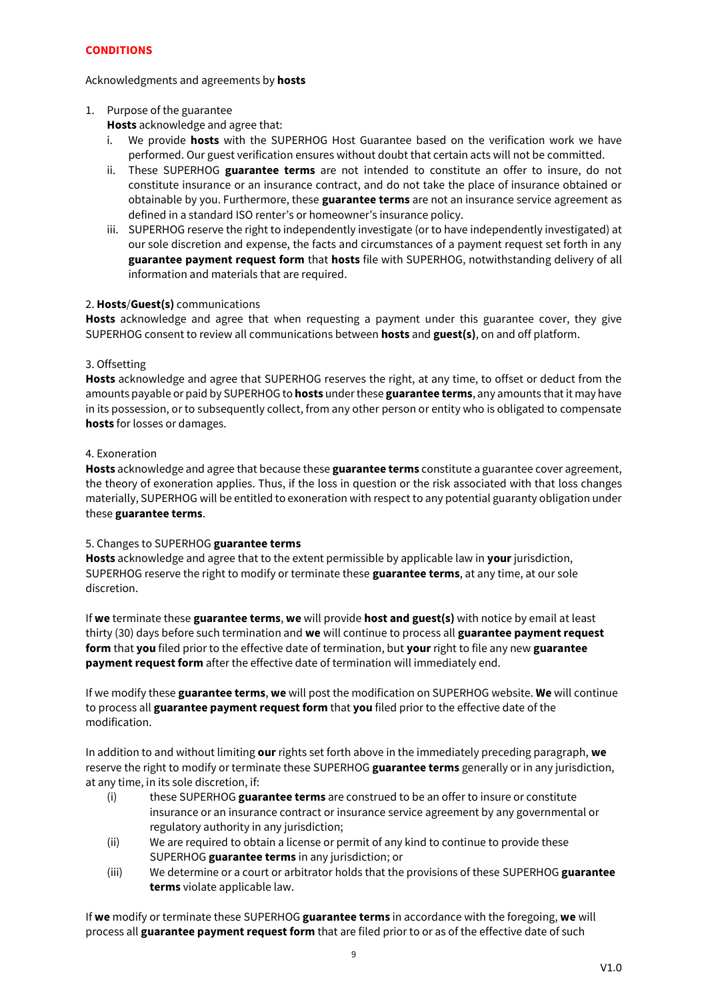# **CONDITIONS**

# Acknowledgments and agreements by **hosts**

# 1. Purpose of the guarantee

**Hosts** acknowledge and agree that:

- i. We provide **hosts** with the SUPERHOG Host Guarantee based on the verification work we have performed. Our guest verification ensures without doubt that certain acts will not be committed.
- ii. These SUPERHOG **guarantee terms** are not intended to constitute an offer to insure, do not constitute insurance or an insurance contract, and do not take the place of insurance obtained or obtainable by you. Furthermore, these **guarantee terms** are not an insurance service agreement as defined in a standard ISO renter's or homeowner's insurance policy.
- iii. SUPERHOG reserve the right to independently investigate (or to have independently investigated) at our sole discretion and expense, the facts and circumstances of a payment request set forth in any **guarantee payment request form** that **hosts** file with SUPERHOG, notwithstanding delivery of all information and materials that are required.

# 2. **Hosts**/**Guest(s)** communications

**Hosts** acknowledge and agree that when requesting a payment under this guarantee cover, they give SUPERHOG consent to review all communications between **hosts** and **guest(s)**, on and off platform.

# 3. Offsetting

**Hosts** acknowledge and agree that SUPERHOG reserves the right, at any time, to offset or deduct from the amounts payable or paid by SUPERHOG to **hosts** under these **guarantee terms**, any amounts that it may have in its possession, or to subsequently collect, from any other person or entity who is obligated to compensate **hosts** for losses or damages.

# 4. Exoneration

**Hosts** acknowledge and agree that because these **guarantee terms** constitute a guarantee cover agreement, the theory of exoneration applies. Thus, if the loss in question or the risk associated with that loss changes materially, SUPERHOG will be entitled to exoneration with respect to any potential guaranty obligation under these **guarantee terms**.

# 5. Changes to SUPERHOG **guarantee terms**

**Hosts** acknowledge and agree that to the extent permissible by applicable law in **your** jurisdiction, SUPERHOG reserve the right to modify or terminate these **guarantee terms**, at any time, at our sole discretion.

If **we** terminate these **guarantee terms**, **we** will provide **host and guest(s)** with notice by email at least thirty (30) days before such termination and **we** will continue to process all **guarantee payment request form** that **you** filed prior to the effective date of termination, but **your** right to file any new **guarantee payment request form** after the effective date of termination will immediately end.

If we modify these **guarantee terms**, **we** will post the modification on SUPERHOG website. **We** will continue to process all **guarantee payment request form** that **you** filed prior to the effective date of the modification.

In addition to and without limiting **our** rights set forth above in the immediately preceding paragraph, **we** reserve the right to modify or terminate these SUPERHOG **guarantee terms** generally or in any jurisdiction, at any time, in its sole discretion, if:

- (i) these SUPERHOG **guarantee terms** are construed to be an offer to insure or constitute insurance or an insurance contract or insurance service agreement by any governmental or regulatory authority in any jurisdiction;
- (ii) We are required to obtain a license or permit of any kind to continue to provide these SUPERHOG **guarantee terms** in any jurisdiction; or
- (iii) We determine or a court or arbitrator holds that the provisions of these SUPERHOG **guarantee terms** violate applicable law.

If **we** modify or terminate these SUPERHOG **guarantee terms** in accordance with the foregoing, **we** will process all **guarantee payment request form** that are filed prior to or as of the effective date of such